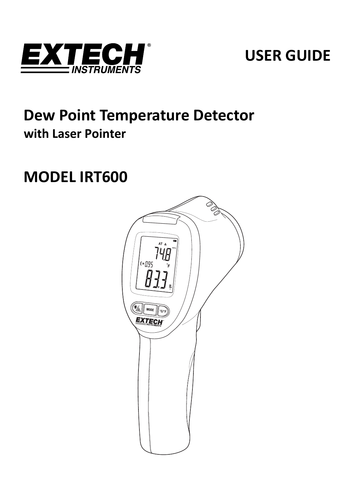

# **USER GUIDE**

# **Dew Point Temperature Detector with Laser Pointer**

# **MODEL IRT600**

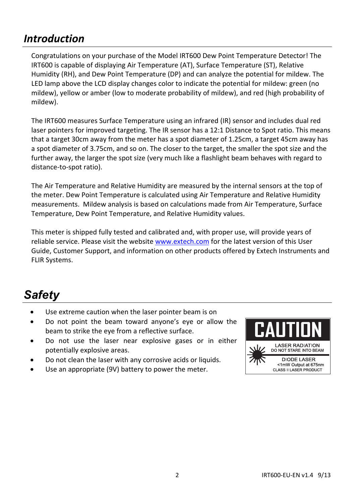## *Introduction*

Congratulations on your purchase of the Model IRT600 Dew Point Temperature Detector! The IRT600 is capable of displaying Air Temperature (AT), Surface Temperature (ST), Relative Humidity (RH), and Dew Point Temperature (DP) and can analyze the potential for mildew. The LED lamp above the LCD display changes color to indicate the potential for mildew: green (no mildew), yellow or amber (low to moderate probability of mildew), and red (high probability of mildew).

The IRT600 measures Surface Temperature using an infrared (IR) sensor and includes dual red laser pointers for improved targeting. The IR sensor has a 12:1 Distance to Spot ratio. This means that a target 30cm away from the meter has a spot diameter of 1.25cm, a target 45cm away has a spot diameter of 3.75cm, and so on. The closer to the target, the smaller the spot size and the further away, the larger the spot size (very much like a flashlight beam behaves with regard to distance‐to‐spot ratio).

The Air Temperature and Relative Humidity are measured by the internal sensors at the top of the meter. Dew Point Temperature is calculated using Air Temperature and Relative Humidity measurements. Mildew analysis is based on calculations made from Air Temperature, Surface Temperature, Dew Point Temperature, and Relative Humidity values.

This meter is shipped fully tested and calibrated and, with proper use, will provide years of reliable service. Please visit the website www.extech.com for the latest version of this User Guide, Customer Support, and information on other products offered by Extech Instruments and FLIR Systems.

# *Safety*

- Use extreme caution when the laser pointer beam is on
- Do not point the beam toward anyone's eye or allow the beam to strike the eye from a reflective surface.
- Do not use the laser near explosive gases or in either potentially explosive areas.
- Do not clean the laser with any corrosive acids or liquids.
- Use an appropriate (9V) battery to power the meter.

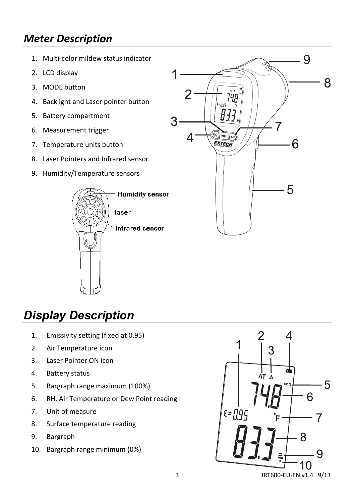## *Meter Description*

- 1. Multi‐color mildew status indicator
- 2. LCD display
- 3. MODE button
- 4. Backlight and Laser pointer button
- 5. Battery compartment
- 6. Measurement trigger
- 7. Temperature units button
- 8. Laser Pointers and Infrared sensor
- 9. Humidity/Temperature sensors





# *Display Description*

- 1. Emissivity setting (fixed at 0.95)
- 2. Air Temperature icon
- 3. Laser Pointer ON icon
- 4. Battery status
- 5. Bargraph range maximum (100%)
- 6. RH, Air Temperature or Dew Point reading
- 7. Unit of measure
- 8. Surface temperature reading
- 9. Bargraph
- 10. Bargraph range minimum (0%)

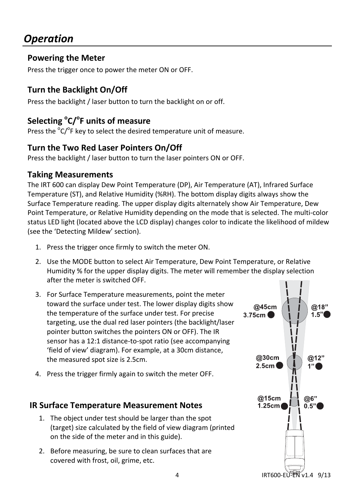## *Operation*

### **Powering the Meter**

Press the trigger once to power the meter ON or OFF.

## **Turn the Backlight On/Off**

Press the backlight / laser button to turn the backlight on or off.

## **Selecting <sup>o</sup> C/<sup>o</sup> F units of measure**

Press the <sup>o</sup>C/<sup>o</sup>F key to select the desired temperature unit of measure.

### **Turn the Two Red Laser Pointers On/Off**

Press the backlight / laser button to turn the laser pointers ON or OFF.

#### **Taking Measurements**

The IRT 600 can display Dew Point Temperature (DP), Air Temperature (AT), Infrared Surface Temperature (ST), and Relative Humidity (%RH). The bottom display digits always show the Surface Temperature reading. The upper display digits alternately show Air Temperature, Dew Point Temperature, or Relative Humidity depending on the mode that is selected. The multi‐color status LED light (located above the LCD display) changes color to indicate the likelihood of mildew (see the 'Detecting Mildew' section).

- 1. Press the trigger once firmly to switch the meter ON.
- 2. Use the MODE button to select Air Temperature, Dew Point Temperature, or Relative Humidity % for the upper display digits. The meter will remember the display selection after the meter is switched OFF.
- 3. For Surface Temperature measurements, point the meter toward the surface under test. The lower display digits show the temperature of the surface under test. For precise targeting, use the dual red laser pointers (the backlight/laser pointer button switches the pointers ON or OFF). The IR sensor has a 12:1 distance-to-spot ratio (see accompanying 'field of view' diagram). For example, at a 30cm distance, the measured spot size is 2.5cm.
- 4. Press the trigger firmly again to switch the meter OFF.

### **IR Surface Temperature Measurement Notes**

- 1. The object under test should be larger than the spot (target) size calculated by the field of view diagram (printed on the side of the meter and in this guide).
- 2. Before measuring, be sure to clean surfaces that are covered with frost, oil, grime, etc.

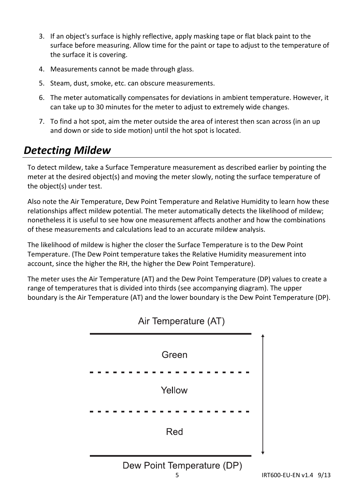- 3. If an object's surface is highly reflective, apply masking tape or flat black paint to the surface before measuring. Allow time for the paint or tape to adjust to the temperature of the surface it is covering.
- 4. Measurements cannot be made through glass.
- 5. Steam, dust, smoke, etc. can obscure measurements.
- 6. The meter automatically compensates for deviations in ambient temperature. However, it can take up to 30 minutes for the meter to adjust to extremely wide changes.
- 7. To find a hot spot, aim the meter outside the area of interest then scan across (in an up and down or side to side motion) until the hot spot is located.

## *Detecting Mildew*

To detect mildew, take a Surface Temperature measurement as described earlier by pointing the meter at the desired object(s) and moving the meter slowly, noting the surface temperature of the object(s) under test.

Also note the Air Temperature, Dew Point Temperature and Relative Humidity to learn how these relationships affect mildew potential. The meter automatically detects the likelihood of mildew; nonetheless it is useful to see how one measurement affects another and how the combinations of these measurements and calculations lead to an accurate mildew analysis.

The likelihood of mildew is higher the closer the Surface Temperature is to the Dew Point Temperature. (The Dew Point temperature takes the Relative Humidity measurement into account, since the higher the RH, the higher the Dew Point Temperature).

The meter uses the Air Temperature (AT) and the Dew Point Temperature (DP) values to create a range of temperatures that is divided into thirds (see accompanying diagram). The upper boundary is the Air Temperature (AT) and the lower boundary is the Dew Point Temperature (DP).



Air Temperature (AT)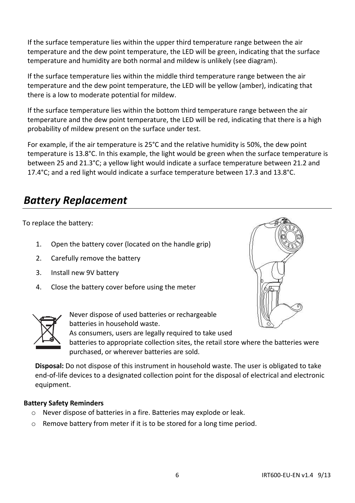If the surface temperature lies within the upper third temperature range between the air temperature and the dew point temperature, the LED will be green, indicating that the surface temperature and humidity are both normal and mildew is unlikely (see diagram).

If the surface temperature lies within the middle third temperature range between the air temperature and the dew point temperature, the LED will be yellow (amber), indicating that there is a low to moderate potential for mildew.

If the surface temperature lies within the bottom third temperature range between the air temperature and the dew point temperature, the LED will be red, indicating that there is a high probability of mildew present on the surface under test.

For example, if the air temperature is 25°C and the relative humidity is 50%, the dew point temperature is 13.8°C. In this example, the light would be green when the surface temperature is between 25 and 21.3°C; a yellow light would indicate a surface temperature between 21.2 and 17.4°C; and a red light would indicate a surface temperature between 17.3 and 13.8°C.

## *Battery Replacement*

To replace the battery:

- 1. Open the battery cover (located on the handle grip)
- 2. Carefully remove the battery
- 3. Install new 9V battery
- 4. Close the battery cover before using the meter





Never dispose of used batteries or rechargeable batteries in household waste.

As consumers, users are legally required to take used

batteries to appropriate collection sites, the retail store where the batteries were purchased, or wherever batteries are sold.

**Disposal:** Do not dispose of this instrument in household waste. The user is obligated to take end‐of‐life devices to a designated collection point for the disposal of electrical and electronic equipment.

#### **Battery Safety Reminders**

- o Never dispose of batteries in a fire. Batteries may explode or leak.
- o Remove battery from meter if it is to be stored for a long time period.